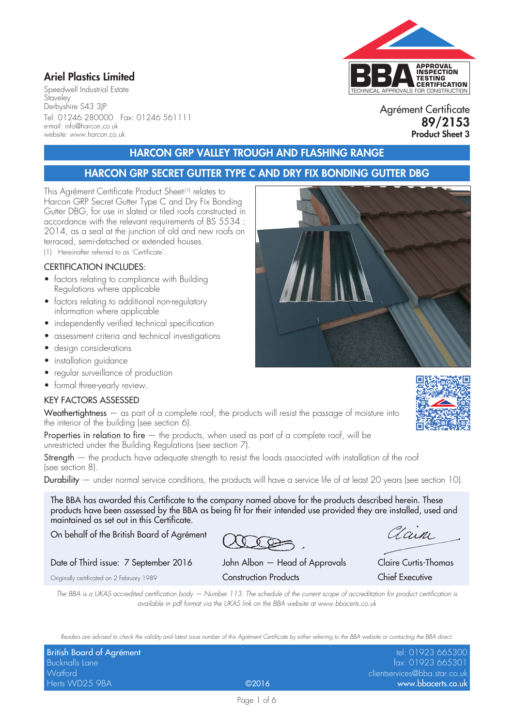## Ariel Plastics Limited

Speedwell Industrial Estate **Staveley** Derbyshire S43 3JP Tel: 01246 280000 Fax: 01246 561111 e-mail: info@harcon.co.uk website: www.harcon.co.uk

## HARCON GRP VALLEY TROUGH AND FLASHING RANGE

#### HARCON GRP SECRET GUTTER TYPE C AND DRY FIX BONDING GUTTER DBG

This Agrément Certificate Product Sheet (1) relates to Harcon GRP Secret Gutter Type C and Dry Fix Bonding Gutter DBG, for use in slated or tiled roofs constructed in accordance with the relevant requirements of BS 5534 : 2014, as a seal at the junction of old and new roofs on terraced, semi-detached or extended houses.

(1) Hereinafter referred to as 'Certificate'.

#### CERTIFICATION INCLUDES:

- factors relating to compliance with Building Regulations where applicable
- factors relating to additional non-regulatory information where applicable
- independently verified technical specification
- assessment criteria and technical investigations
- design considerations
- installation guidance
- regular surveillance of production
- formal three-yearly review.

#### KEY FACTORS ASSESSED

Weathertightness – as part of a complete roof, the products will resist the passage of moisture into the interior of the building (see section 6).

Properties in relation to fire  $-$  the products, when used as part of a complete roof, will be unrestricted under the Building Regulations (see section 7).

Strength – the products have adequate strength to resist the loads associated with installation of the roof (see section 8).

Durability — under normal service conditions, the products will have a service life of at least 20 years (see section 10).

The BBA has awarded this Certificate to the company named above for the products described herein. These products have been assessed by the BBA as being fit for their intended use provided they are installed, used and maintained as set out in this Certificate.

On behalf of the British Board of Agrément

Date of Third issue: 7 September 2016 John Albon — Head of Approvals Claire Curtis-Thomas

Originally certificated on 2 February 1989 Construction Products Chief Executive

*The BBA is a UKAS accredited certification body — Number 113. The schedule of the current scope of accreditation for product certification is available in pdf format via the UKAS link on the BBA website at www.bbacerts.co.uk*

*Readers are advised to check the validity and latest issue number of this Agrément Certificate by either referring to the BBA website or contacting the BBA direct.*

| British Board of Agrément |       | tel: 01923 665300             |
|---------------------------|-------|-------------------------------|
| Bucknalls Lane            |       | fax: 01923 665301             |
| Watford                   |       | clientservices@bba.star.co.uk |
| Herts WD25 9BA            | @2016 | www.bbacerts.co.uk            |









Clain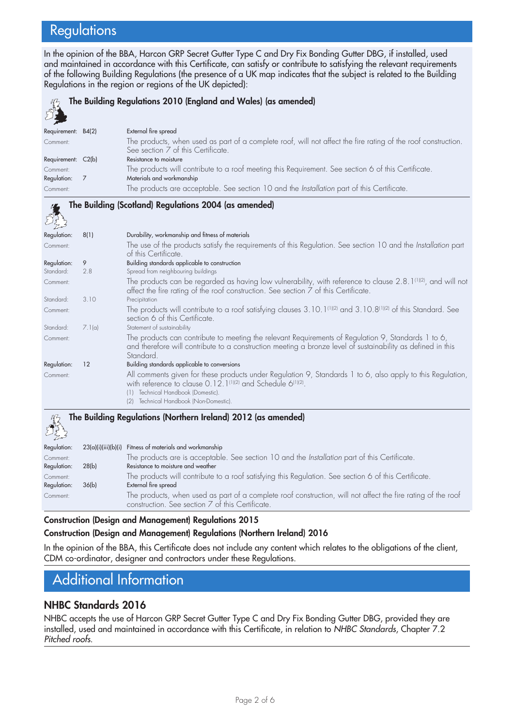# **Regulations**

In the opinion of the BBA, Harcon GRP Secret Gutter Type C and Dry Fix Bonding Gutter DBG, if installed, used and maintained in accordance with this Certificate, can satisfy or contribute to satisfying the relevant requirements of the following Building Regulations (the presence of a UK map indicates that the subject is related to the Building Regulations in the region or regions of the UK depicted):

| The Building Regulations 2010 (England and Wales) (as amended) |        |                                                                                                                                                                                                                                 |  |  |
|----------------------------------------------------------------|--------|---------------------------------------------------------------------------------------------------------------------------------------------------------------------------------------------------------------------------------|--|--|
| Requirement: B4(2)                                             |        | External fire spread                                                                                                                                                                                                            |  |  |
| Comment:                                                       |        | The products, when used as part of a complete roof, will not affect the fire rating of the roof construction.<br>See section 7 of this Certificate.                                                                             |  |  |
| Requirement: C2(b)                                             |        | Resistance to moisture                                                                                                                                                                                                          |  |  |
| Comment:<br>Regulation:                                        | 7      | The products will contribute to a roof meeting this Requirement. See section 6 of this Certificate.<br>Materials and workmanship                                                                                                |  |  |
| Comment:                                                       |        | The products are acceptable. See section 10 and the Installation part of this Certificate.                                                                                                                                      |  |  |
|                                                                |        | The Building (Scotland) Regulations 2004 (as amended)                                                                                                                                                                           |  |  |
| Regulation:                                                    | 8(1)   | Durability, workmanship and fitness of materials                                                                                                                                                                                |  |  |
| Comment:                                                       |        | The use of the products satisfy the requirements of this Regulation. See section 10 and the Installation part<br>of this Certificate.                                                                                           |  |  |
| Regulation:                                                    | 9      | Building standards applicable to construction                                                                                                                                                                                   |  |  |
| Standard:                                                      | 2.8    | Spread from neighbouring buildings                                                                                                                                                                                              |  |  |
| Comment:                                                       |        | The products can be regarded as having low vulnerability, with reference to clause 2.8.1 <sup>(1)(2)</sup> , and will not<br>affect the fire rating of the roof construction. See section 7 of this Certificate.                |  |  |
| Standard:                                                      | 3.10   | Precipitation                                                                                                                                                                                                                   |  |  |
| Comment:                                                       |        | The products will contribute to a roof satisfying clauses $3.10.1^{[1][2]}$ and $3.10.8^{[1][2]}$ of this Standard. See<br>section 6 of this Certificate.                                                                       |  |  |
| Standard:                                                      | 7.1(a) | Statement of sustainability                                                                                                                                                                                                     |  |  |
| Comment:                                                       |        | The products can contribute to meeting the relevant Requirements of Regulation 9, Standards 1 to 6,<br>and therefore will contribute to a construction meeting a bronze level of sustainability as defined in this<br>Standard. |  |  |
| Regulation:                                                    | 12     | Building standards applicable to conversions                                                                                                                                                                                    |  |  |
| Comment:                                                       |        | All comments given for these products under Regulation 9, Standards 1 to 6, also apply to this Regulation,<br>with reference to clause 0.12.1 <sup>(1)(2)</sup> and Schedule 6 <sup>(1)(2)</sup> .                              |  |  |

(1) Technical Handbook (Domestic). (2) Technical Handbook (Non-Domestic).

# The Building Regulations (Northern Ireland) 2012 (as amended)

| Regulation: | 23(a)(i)(iii)(b)(i) | Fitness of materials and workmanship                                                                         |
|-------------|---------------------|--------------------------------------------------------------------------------------------------------------|
| Comment:    |                     | The products are is acceptable. See section 10 and the Installation part of this Certificate.                |
| Regulation: | 28(b)               | Resistance to moisture and weather                                                                           |
| Comment:    |                     | The products will contribute to a roof satisfying this Regulation. See section 6 of this Certificate.        |
| Regulation: | 36(b)               | External fire spread                                                                                         |
| Comment:    |                     | The products, when used as part of a complete roof construction, will not affect the fire rating of the roof |
|             |                     | construction. See section 7 of this Certificate.                                                             |

#### Construction (Design and Management) Regulations 2015 Construction (Design and Management) Regulations (Northern Ireland) 2016

In the opinion of the BBA, this Certificate does not include any content which relates to the obligations of the client, CDM co-ordinator, designer and contractors under these Regulations.

## Additional Information

#### NHBC Standards 2016

NHBC accepts the use of Harcon GRP Secret Gutter Type C and Dry Fix Bonding Gutter DBG, provided they are installed, used and maintained in accordance with this Certificate, in relation to *NHBC Standards*, Chapter 7.2 *Pitched roofs*.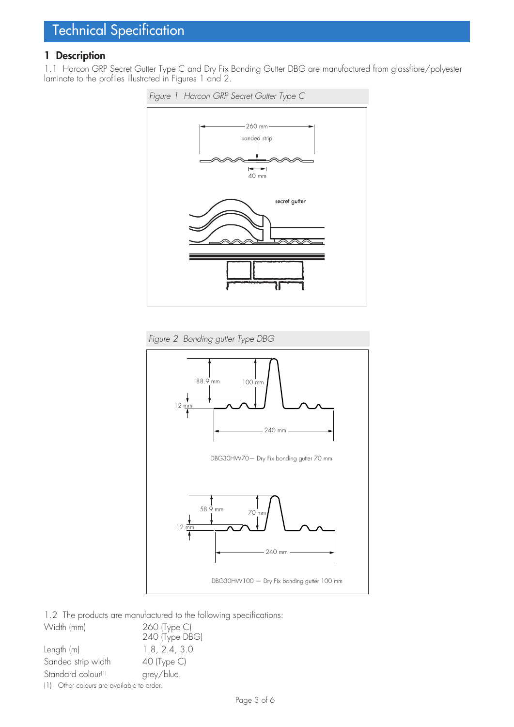#### 1 Description

1.1 Harcon GRP Secret Gutter Type C and Dry Fix Bonding Gutter DBG are manufactured from glassfibre/polyester laminate to the profiles illustrated in Figures 1 and 2.





1.2 The products are manufactured to the following specifications:

| Width (mm)                                | 260 (Type C)   |
|-------------------------------------------|----------------|
|                                           | 240 (Type DBG) |
| Length (m)                                | 1.8, 2.4, 3.0  |
| Sanded strip width                        | $40$ (Type C)  |
| Standard colour <sup>(1)</sup>            | grey/blue.     |
| (1) Other colours are available to order. |                |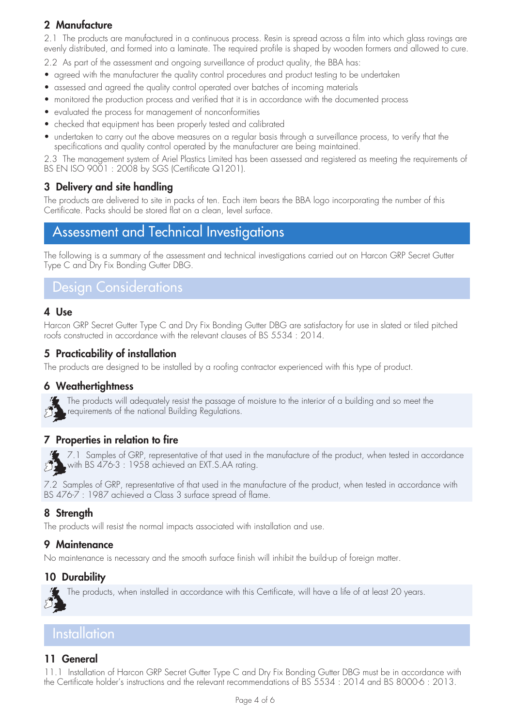## 2 Manufacture

2.1 The products are manufactured in a continuous process. Resin is spread across a film into which glass rovings are evenly distributed, and formed into a laminate. The required profile is shaped by wooden formers and allowed to cure.

2.2 As part of the assessment and ongoing surveillance of product quality, the BBA has:

- agreed with the manufacturer the quality control procedures and product testing to be undertaken
- assessed and agreed the quality control operated over batches of incoming materials
- monitored the production process and verified that it is in accordance with the documented process
- evaluated the process for management of nonconformities
- checked that equipment has been properly tested and calibrated
- undertaken to carry out the above measures on a regular basis through a surveillance process, to verify that the specifications and quality control operated by the manufacturer are being maintained.

2.3 The management system of Ariel Plastics Limited has been assessed and registered as meeting the requirements of BS EN ISO 9001 : 2008 by SGS (Certificate Q1201).

### 3 Delivery and site handling

The products are delivered to site in packs of ten. Each item bears the BBA logo incorporating the number of this Certificate. Packs should be stored flat on a clean, level surface.

# Assessment and Technical Investigations

The following is a summary of the assessment and technical investigations carried out on Harcon GRP Secret Gutter Type C and Dry Fix Bonding Gutter DBG.

## Design Considerations

#### 4 Use

Harcon GRP Secret Gutter Type C and Dry Fix Bonding Gutter DBG are satisfactory for use in slated or tiled pitched roofs constructed in accordance with the relevant clauses of BS 5534 : 2014.

#### 5 Practicability of installation

The products are designed to be installed by a roofing contractor experienced with this type of product.

#### 6 Weathertightness



The products will adequately resist the passage of moisture to the interior of a building and so meet the requirements of the national Building Regulations.

#### 7 Properties in relation to fire



 $\gamma$  7.1 Samples of GRP, representative of that used in the manufacture of the product, when tested in accordance with BS 476-3 : 1958 achieved an EXT.S.AA rating.

7.2 Samples of GRP, representative of that used in the manufacture of the product, when tested in accordance with BS 476-7 : 1987 achieved a Class 3 surface spread of flame.

#### 8 Strength

The products will resist the normal impacts associated with installation and use.

#### 9 Maintenance

No maintenance is necessary and the smooth surface finish will inhibit the build-up of foreign matter.

#### 10 Durability

The products, when installed in accordance with this Certificate, will have a life of at least 20 years.

## **Installation**

#### 11 General

11.1 Installation of Harcon GRP Secret Gutter Type C and Dry Fix Bonding Gutter DBG must be in accordance with the Certificate holder's instructions and the relevant recommendations of BS 5534 : 2014 and BS 8000-6 : 2013.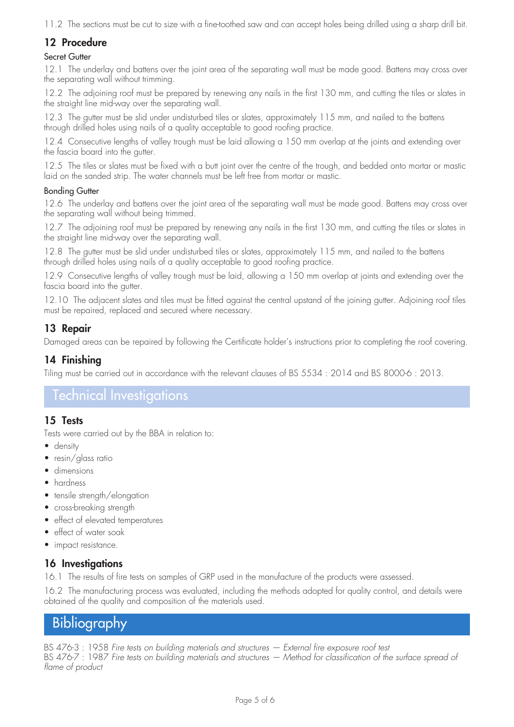11.2 The sections must be cut to size with a fine-toothed saw and can accept holes being drilled using a sharp drill bit.

## 12 Procedure

#### Secret Gutter

12.1 The underlay and battens over the joint area of the separating wall must be made good. Battens may cross over the separating wall without trimming.

12.2 The adjoining roof must be prepared by renewing any nails in the first 130 mm, and cutting the tiles or slates in the straight line mid-way over the separating wall.

12.3 The gutter must be slid under undisturbed tiles or slates, approximately 115 mm, and nailed to the battens through drilled holes using nails of a quality acceptable to good roofing practice.

12.4 Consecutive lengths of valley trough must be laid allowing a 150 mm overlap at the joints and extending over the fascia board into the gutter.

12.5 The tiles or slates must be fixed with a butt joint over the centre of the trough, and bedded onto mortar or mastic laid on the sanded strip. The water channels must be left free from mortar or mastic.

#### Bonding Gutter

12.6 The underlay and battens over the joint area of the separating wall must be made good. Battens may cross over the separating wall without being trimmed.

12.7 The adjoining roof must be prepared by renewing any nails in the first 130 mm, and cutting the tiles or slates in the straight line mid-way over the separating wall.

12.8 The gutter must be slid under undisturbed tiles or slates, approximately 115 mm, and nailed to the battens through drilled holes using nails of a quality acceptable to good roofing practice.

12.9 Consecutive lengths of valley trough must be laid, allowing a 150 mm overlap at joints and extending over the fascia board into the gutter.

12.10 The adjacent slates and tiles must be fitted against the central upstand of the joining gutter. Adjoining roof tiles must be repaired, replaced and secured where necessary.

#### 13 Repair

Damaged areas can be repaired by following the Certificate holder's instructions prior to completing the roof covering.

#### 14 Finishing

Tiling must be carried out in accordance with the relevant clauses of BS 5534 : 2014 and BS 8000-6 : 2013.

## Technical Investigations

#### 15 Tests

Tests were carried out by the BBA in relation to:

- density
- resin/glass ratio
- dimensions
- hardness
- tensile strength/elongation
- cross-breaking strength
- effect of elevated temperatures
- effect of water soak
- impact resistance.

#### 16 Investigations

16.1 The results of fire tests on samples of GRP used in the manufacture of the products were assessed.

16.2 The manufacturing process was evaluated, including the methods adopted for quality control, and details were obtained of the quality and composition of the materials used.

# **Bibliography**

BS 476-3 : 1958 *Fire tests on building materials and structures — External fire exposure roof test* BS 476-7 : 1987 Fire tests on building materials and structures — Method for classification of the surface spread of *flame of product*